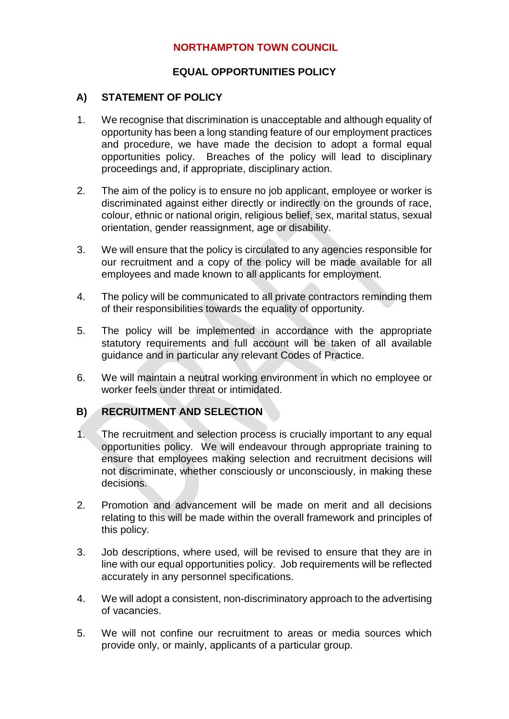## **NORTHAMPTON TOWN COUNCIL**

#### **EQUAL OPPORTUNITIES POLICY**

#### **A) STATEMENT OF POLICY**

- 1. We recognise that discrimination is unacceptable and although equality of opportunity has been a long standing feature of our employment practices and procedure, we have made the decision to adopt a formal equal opportunities policy. Breaches of the policy will lead to disciplinary proceedings and, if appropriate, disciplinary action.
- 2. The aim of the policy is to ensure no job applicant, employee or worker is discriminated against either directly or indirectly on the grounds of race, colour, ethnic or national origin, religious belief, sex, marital status, sexual orientation, gender reassignment, age or disability.
- 3. We will ensure that the policy is circulated to any agencies responsible for our recruitment and a copy of the policy will be made available for all employees and made known to all applicants for employment.
- 4. The policy will be communicated to all private contractors reminding them of their responsibilities towards the equality of opportunity.
- 5. The policy will be implemented in accordance with the appropriate statutory requirements and full account will be taken of all available guidance and in particular any relevant Codes of Practice.
- 6. We will maintain a neutral working environment in which no employee or worker feels under threat or intimidated.

## **B) RECRUITMENT AND SELECTION**

- 1. The recruitment and selection process is crucially important to any equal opportunities policy. We will endeavour through appropriate training to ensure that employees making selection and recruitment decisions will not discriminate, whether consciously or unconsciously, in making these decisions.
- 2. Promotion and advancement will be made on merit and all decisions relating to this will be made within the overall framework and principles of this policy.
- 3. Job descriptions, where used, will be revised to ensure that they are in line with our equal opportunities policy. Job requirements will be reflected accurately in any personnel specifications.
- 4. We will adopt a consistent, non-discriminatory approach to the advertising of vacancies.
- 5. We will not confine our recruitment to areas or media sources which provide only, or mainly, applicants of a particular group.